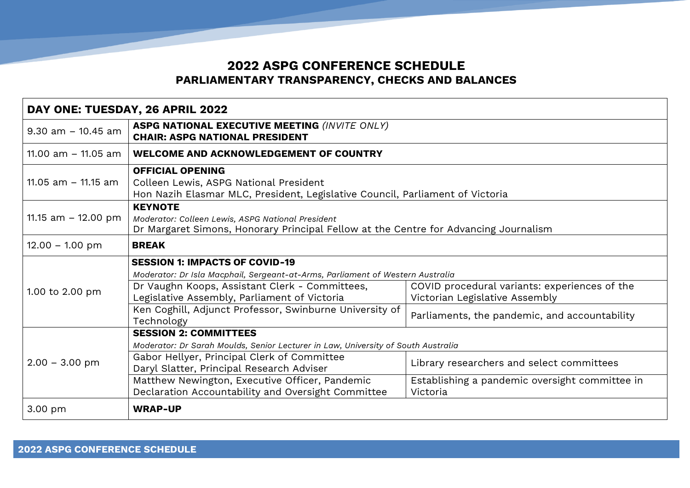## **2022 ASPG CONFERENCE SCHEDULE PARLIAMENTARY TRANSPARENCY, CHECKS AND BALANCES**

| DAY ONE: TUESDAY, 26 APRIL 2022 |                                                                                                                                                             |                                                                                 |  |  |
|---------------------------------|-------------------------------------------------------------------------------------------------------------------------------------------------------------|---------------------------------------------------------------------------------|--|--|
| $9.30$ am $-10.45$ am           | <b>ASPG NATIONAL EXECUTIVE MEETING (INVITE ONLY)</b><br><b>CHAIR: ASPG NATIONAL PRESIDENT</b>                                                               |                                                                                 |  |  |
| 11.00 am - 11.05 am             | <b>WELCOME AND ACKNOWLEDGEMENT OF COUNTRY</b>                                                                                                               |                                                                                 |  |  |
| 11.05 $am - 11.15 am$           | <b>OFFICIAL OPENING</b><br>Colleen Lewis, ASPG National President<br>Hon Nazih Elasmar MLC, President, Legislative Council, Parliament of Victoria          |                                                                                 |  |  |
| 11.15 am $-$ 12.00 pm           | <b>KEYNOTE</b><br>Moderator: Colleen Lewis, ASPG National President<br>Dr Margaret Simons, Honorary Principal Fellow at the Centre for Advancing Journalism |                                                                                 |  |  |
| $12.00 - 1.00$ pm               | <b>BREAK</b>                                                                                                                                                |                                                                                 |  |  |
|                                 | <b>SESSION 1: IMPACTS OF COVID-19</b>                                                                                                                       |                                                                                 |  |  |
|                                 | Moderator: Dr Isla Macphail, Sergeant-at-Arms, Parliament of Western Australia                                                                              |                                                                                 |  |  |
| 1.00 to 2.00 pm                 | Dr Vaughn Koops, Assistant Clerk - Committees,<br>Legislative Assembly, Parliament of Victoria                                                              | COVID procedural variants: experiences of the<br>Victorian Legislative Assembly |  |  |
|                                 | Ken Coghill, Adjunct Professor, Swinburne University of<br>Technology                                                                                       | Parliaments, the pandemic, and accountability                                   |  |  |
| $2.00 - 3.00$ pm                | <b>SESSION 2: COMMITTEES</b>                                                                                                                                |                                                                                 |  |  |
|                                 | Moderator: Dr Sarah Moulds, Senior Lecturer in Law, University of South Australia                                                                           |                                                                                 |  |  |
|                                 | Gabor Hellyer, Principal Clerk of Committee<br>Daryl Slatter, Principal Research Adviser                                                                    | Library researchers and select committees                                       |  |  |
|                                 | Matthew Newington, Executive Officer, Pandemic<br>Declaration Accountability and Oversight Committee                                                        | Establishing a pandemic oversight committee in<br>Victoria                      |  |  |
| 3.00 pm                         | <b>WRAP-UP</b>                                                                                                                                              |                                                                                 |  |  |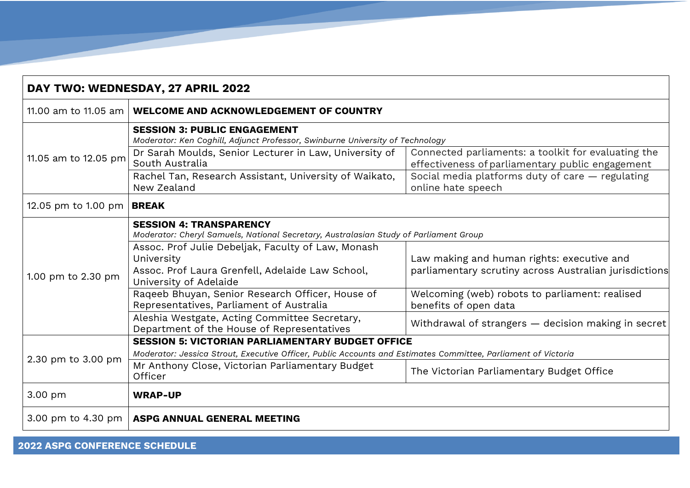| DAY TWO: WEDNESDAY, 27 APRIL 2022  |                                                                                                                                                                                                                                                 |                                                                                                         |  |  |
|------------------------------------|-------------------------------------------------------------------------------------------------------------------------------------------------------------------------------------------------------------------------------------------------|---------------------------------------------------------------------------------------------------------|--|--|
| 11.00 am to 11.05 am               | <b>WELCOME AND ACKNOWLEDGEMENT OF COUNTRY</b>                                                                                                                                                                                                   |                                                                                                         |  |  |
| 11.05 am to 12.05 pm               | <b>SESSION 3: PUBLIC ENGAGEMENT</b><br>Moderator: Ken Coghill, Adjunct Professor, Swinburne University of Technology                                                                                                                            |                                                                                                         |  |  |
|                                    | Dr Sarah Moulds, Senior Lecturer in Law, University of<br>South Australia                                                                                                                                                                       | Connected parliaments: a toolkit for evaluating the<br>effectiveness of parliamentary public engagement |  |  |
|                                    | Rachel Tan, Research Assistant, University of Waikato,<br>New Zealand                                                                                                                                                                           | Social media platforms duty of care - regulating<br>online hate speech                                  |  |  |
| 12.05 pm to 1.00 pm   <b>BREAK</b> |                                                                                                                                                                                                                                                 |                                                                                                         |  |  |
| 1.00 pm to 2.30 pm                 | <b>SESSION 4: TRANSPARENCY</b><br>Moderator: Cheryl Samuels, National Secretary, Australasian Study of Parliament Group<br>Assoc. Prof Julie Debeljak, Faculty of Law, Monash<br>University<br>Assoc. Prof Laura Grenfell, Adelaide Law School, | Law making and human rights: executive and<br>parliamentary scrutiny across Australian jurisdictions    |  |  |
|                                    | University of Adelaide<br>Raqeeb Bhuyan, Senior Research Officer, House of<br>Representatives, Parliament of Australia                                                                                                                          | Welcoming (web) robots to parliament: realised<br>benefits of open data                                 |  |  |
|                                    | Aleshia Westgate, Acting Committee Secretary,<br>Department of the House of Representatives                                                                                                                                                     | Withdrawal of strangers - decision making in secret                                                     |  |  |
| 2.30 pm to 3.00 pm                 | <b>SESSION 5: VICTORIAN PARLIAMENTARY BUDGET OFFICE</b>                                                                                                                                                                                         |                                                                                                         |  |  |
|                                    | Moderator: Jessica Strout, Executive Officer, Public Accounts and Estimates Committee, Parliament of Victoria<br>Mr Anthony Close, Victorian Parliamentary Budget<br>Officer                                                                    | The Victorian Parliamentary Budget Office                                                               |  |  |
| 3.00 pm                            | <b>WRAP-UP</b>                                                                                                                                                                                                                                  |                                                                                                         |  |  |
|                                    | 3.00 pm to 4.30 pm   ASPG ANNUAL GENERAL MEETING                                                                                                                                                                                                |                                                                                                         |  |  |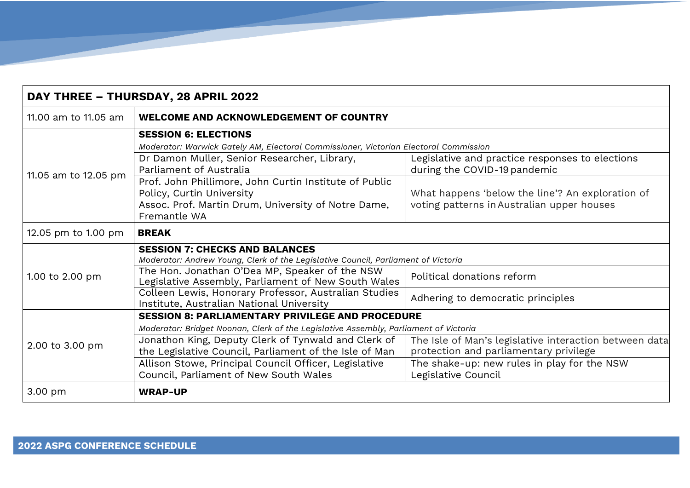| DAY THREE - THURSDAY, 28 APRIL 2022 |                                                                                                                                                            |                                                                                                |  |  |
|-------------------------------------|------------------------------------------------------------------------------------------------------------------------------------------------------------|------------------------------------------------------------------------------------------------|--|--|
| 11.00 am to 11.05 am                | <b>WELCOME AND ACKNOWLEDGEMENT OF COUNTRY</b>                                                                                                              |                                                                                                |  |  |
| 11.05 am to 12.05 pm                | <b>SESSION 6: ELECTIONS</b>                                                                                                                                |                                                                                                |  |  |
|                                     | Moderator: Warwick Gately AM, Electoral Commissioner, Victorian Electoral Commission                                                                       |                                                                                                |  |  |
|                                     | Dr Damon Muller, Senior Researcher, Library,<br>Parliament of Australia                                                                                    | Legislative and practice responses to elections<br>during the COVID-19 pandemic                |  |  |
|                                     | Prof. John Phillimore, John Curtin Institute of Public<br>Policy, Curtin University<br>Assoc. Prof. Martin Drum, University of Notre Dame,<br>Fremantle WA | What happens 'below the line'? An exploration of<br>voting patterns in Australian upper houses |  |  |
| 12.05 pm to 1.00 pm                 | <b>BREAK</b>                                                                                                                                               |                                                                                                |  |  |
| 1.00 to 2.00 pm                     | <b>SESSION 7: CHECKS AND BALANCES</b><br>Moderator: Andrew Young, Clerk of the Legislative Council, Parliament of Victoria                                 |                                                                                                |  |  |
|                                     | The Hon. Jonathan O'Dea MP, Speaker of the NSW<br>Legislative Assembly, Parliament of New South Wales                                                      | Political donations reform                                                                     |  |  |
|                                     | Colleen Lewis, Honorary Professor, Australian Studies<br>Institute, Australian National University                                                         | Adhering to democratic principles                                                              |  |  |
| 2.00 to 3.00 pm                     | <b>SESSION 8: PARLIAMENTARY PRIVILEGE AND PROCEDURE</b>                                                                                                    |                                                                                                |  |  |
|                                     | Moderator: Bridget Noonan, Clerk of the Legislative Assembly, Parliament of Victoria                                                                       |                                                                                                |  |  |
|                                     | Jonathon King, Deputy Clerk of Tynwald and Clerk of                                                                                                        | The Isle of Man's legislative interaction between data                                         |  |  |
|                                     | the Legislative Council, Parliament of the Isle of Man                                                                                                     | protection and parliamentary privilege                                                         |  |  |
|                                     | Allison Stowe, Principal Council Officer, Legislative                                                                                                      | The shake-up: new rules in play for the NSW                                                    |  |  |
|                                     | Council, Parliament of New South Wales                                                                                                                     | Legislative Council                                                                            |  |  |
| 3.00 pm                             | <b>WRAP-UP</b>                                                                                                                                             |                                                                                                |  |  |